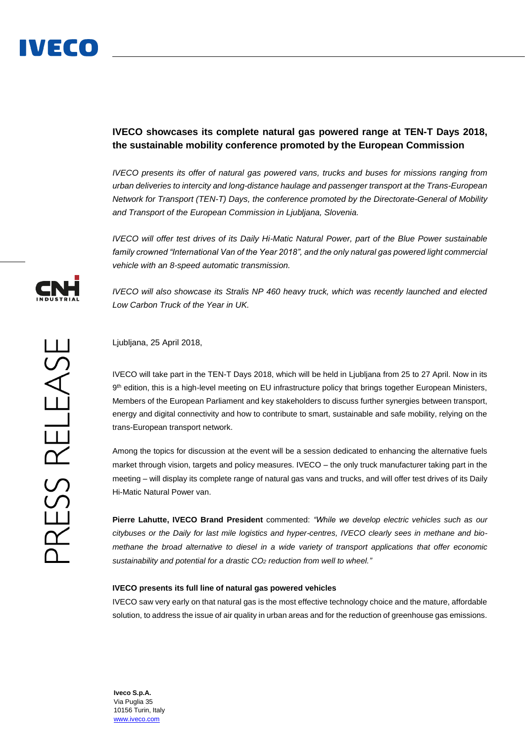## **IVECO showcases its complete natural gas powered range at TEN-T Days 2018, the sustainable mobility conference promoted by the European Commission**

*IVECO presents its offer of natural gas powered vans, trucks and buses for missions ranging from urban deliveries to intercity and long-distance haulage and passenger transport at the Trans-European Network for Transport (TEN-T) Days, the conference promoted by the Directorate-General of Mobility and Transport of the European Commission in Ljubljana, Slovenia.*

*IVECO will offer test drives of its Daily Hi-Matic Natural Power, part of the Blue Power sustainable family crowned "International Van of the Year 2018", and the only natural gas powered light commercial vehicle with an 8-speed automatic transmission.*

*IVECO will also showcase its Stralis NP 460 heavy truck, which was recently launched and elected Low Carbon Truck of the Year in UK.*

Ljubljana, 25 April 2018,

IVECO will take part in the TEN-T Days 2018, which will be held in Ljubljana from 25 to 27 April. Now in its 9<sup>th</sup> edition, this is a high-level meeting on EU infrastructure policy that brings together European Ministers, Members of the European Parliament and key stakeholders to discuss further synergies between transport, energy and digital connectivity and how to contribute to smart, sustainable and safe mobility, relying on the trans-European transport network.

Among the topics for discussion at the event will be a session dedicated to enhancing the alternative fuels market through vision, targets and policy measures. IVECO – the only truck manufacturer taking part in the meeting – will display its complete range of natural gas vans and trucks, and will offer test drives of its Daily Hi-Matic Natural Power van.

**Pierre Lahutte, IVECO Brand President** commented: *"While we develop electric vehicles such as our citybuses or the Daily for last mile logistics and hyper-centres, IVECO clearly sees in methane and biomethane the broad alternative to diesel in a wide variety of transport applications that offer economic sustainability and potential for a drastic CO<sup>2</sup> reduction from well to wheel."*

## **IVECO presents its full line of natural gas powered vehicles**

IVECO saw very early on that natural gas is the most effective technology choice and the mature, affordable solution, to address the issue of air quality in urban areas and for the reduction of greenhouse gas emissions.



**Iveco S.p.A.** Via Puglia 35 10156 Turin, Italy [www.iveco.com](http://www.iveco.com/)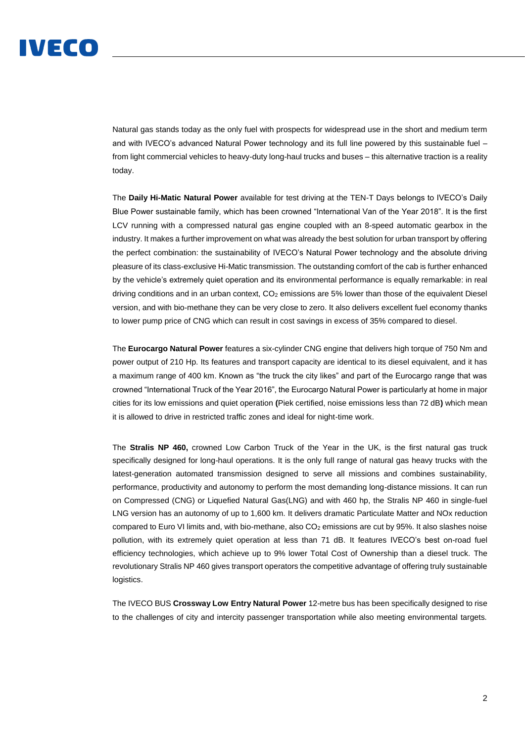## IVECO

Natural gas stands today as the only fuel with prospects for widespread use in the short and medium term and with IVECO's advanced Natural Power technology and its full line powered by this sustainable fuel – from light commercial vehicles to heavy-duty long-haul trucks and buses – this alternative traction is a reality today.

The **Daily Hi-Matic Natural Power** available for test driving at the TEN-T Days belongs to IVECO's Daily Blue Power sustainable family, which has been crowned "International Van of the Year 2018". It is the first LCV running with a compressed natural gas engine coupled with an 8-speed automatic gearbox in the industry. It makes a further improvement on what was already the best solution for urban transport by offering the perfect combination: the sustainability of IVECO's Natural Power technology and the absolute driving pleasure of its class-exclusive Hi-Matic transmission. The outstanding comfort of the cab is further enhanced by the vehicle's extremely quiet operation and its environmental performance is equally remarkable: in real driving conditions and in an urban context, CO<sub>2</sub> emissions are 5% lower than those of the equivalent Diesel version, and with bio-methane they can be very close to zero. It also delivers excellent fuel economy thanks to lower pump price of CNG which can result in cost savings in excess of 35% compared to diesel.

The **Eurocargo Natural Power** features a six-cylinder CNG engine that delivers high torque of 750 Nm and power output of 210 Hp. Its features and transport capacity are identical to its diesel equivalent, and it has a maximum range of 400 km. Known as "the truck the city likes" and part of the Eurocargo range that was crowned "International Truck of the Year 2016", the Eurocargo Natural Power is particularly at home in major cities for its low emissions and quiet operation **(**Piek certified, noise emissions less than 72 dB**)** which mean it is allowed to drive in restricted traffic zones and ideal for night-time work.

The **Stralis NP 460,** crowned Low Carbon Truck of the Year in the UK, is the first natural gas truck specifically designed for long-haul operations. It is the only full range of natural gas heavy trucks with the latest-generation automated transmission designed to serve all missions and combines sustainability, performance, productivity and autonomy to perform the most demanding long-distance missions. It can run on Compressed (CNG) or Liquefied Natural Gas(LNG) and with 460 hp, the Stralis NP 460 in single-fuel LNG version has an autonomy of up to 1,600 km. It delivers dramatic Particulate Matter and NOx reduction compared to Euro VI limits and, with bio-methane, also CO<sub>2</sub> emissions are cut by 95%. It also slashes noise pollution, with its extremely quiet operation at less than 71 dB. It features IVECO's best on-road fuel efficiency technologies, which achieve up to 9% lower Total Cost of Ownership than a diesel truck. The revolutionary Stralis NP 460 gives transport operators the competitive advantage of offering truly sustainable logistics.

The IVECO BUS **Crossway Low Entry Natural Power** 12-metre bus has been specifically designed to rise to the challenges of city and intercity passenger transportation while also meeting environmental targets.